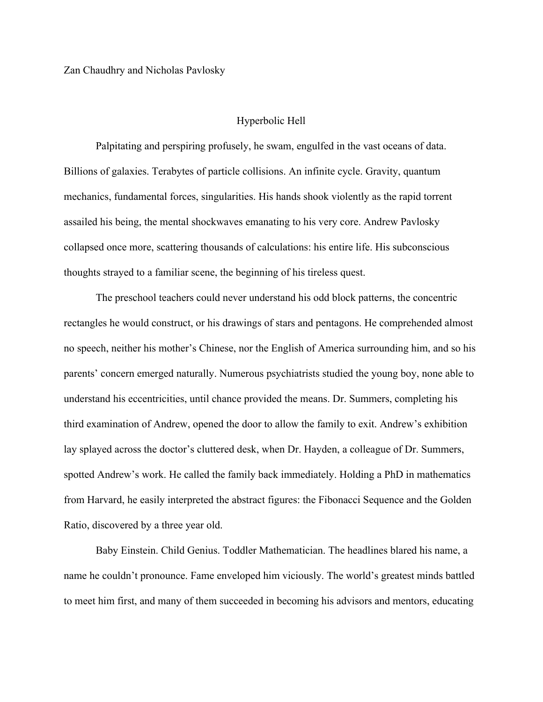## Hyperbolic Hell

Palpitating and perspiring profusely, he swam, engulfed in the vast oceans of data. Billions of galaxies. Terabytes of particle collisions. An infinite cycle. Gravity, quantum mechanics, fundamental forces, singularities. His hands shook violently as the rapid torrent assailed his being, the mental shockwaves emanating to his very core. Andrew Pavlosky collapsed once more, scattering thousands of calculations: his entire life. His subconscious thoughts strayed to a familiar scene, the beginning of his tireless quest.

The preschool teachers could never understand his odd block patterns, the concentric rectangles he would construct, or his drawings of stars and pentagons. He comprehended almost no speech, neither his mother's Chinese, nor the English of America surrounding him, and so his parents' concern emerged naturally. Numerous psychiatrists studied the young boy, none able to understand his eccentricities, until chance provided the means. Dr. Summers, completing his third examination of Andrew, opened the door to allow the family to exit. Andrew's exhibition lay splayed across the doctor's cluttered desk, when Dr. Hayden, a colleague of Dr. Summers, spotted Andrew's work. He called the family back immediately. Holding a PhD in mathematics from Harvard, he easily interpreted the abstract figures: the Fibonacci Sequence and the Golden Ratio, discovered by a three year old.

Baby Einstein. Child Genius. Toddler Mathematician. The headlines blared his name, a name he couldn't pronounce. Fame enveloped him viciously. The world's greatest minds battled to meet him first, and many of them succeeded in becoming his advisors and mentors, educating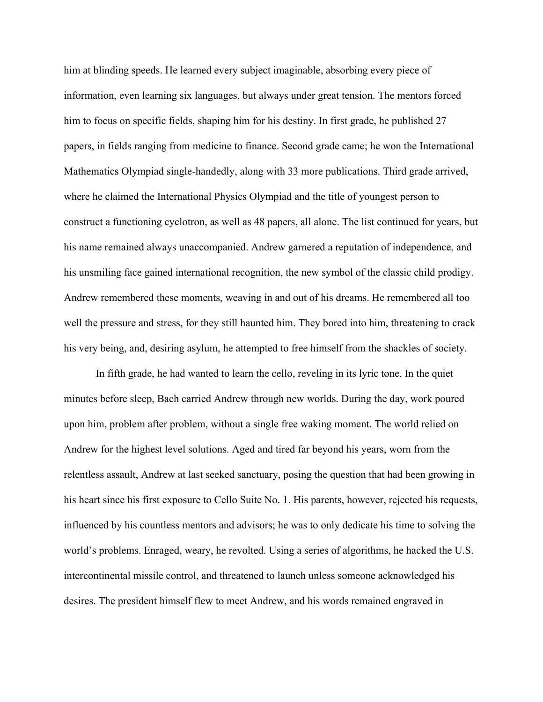him at blinding speeds. He learned every subject imaginable, absorbing every piece of information, even learning six languages, but always under great tension. The mentors forced him to focus on specific fields, shaping him for his destiny. In first grade, he published 27 papers, in fields ranging from medicine to finance. Second grade came; he won the International Mathematics Olympiad single-handedly, along with 33 more publications. Third grade arrived, where he claimed the International Physics Olympiad and the title of youngest person to construct a functioning cyclotron, as well as 48 papers, all alone. The list continued for years, but his name remained always unaccompanied. Andrew garnered a reputation of independence, and his unsmiling face gained international recognition, the new symbol of the classic child prodigy. Andrew remembered these moments, weaving in and out of his dreams. He remembered all too well the pressure and stress, for they still haunted him. They bored into him, threatening to crack his very being, and, desiring asylum, he attempted to free himself from the shackles of society.

In fifth grade, he had wanted to learn the cello, reveling in its lyric tone. In the quiet minutes before sleep, Bach carried Andrew through new worlds. During the day, work poured upon him, problem after problem, without a single free waking moment. The world relied on Andrew for the highest level solutions. Aged and tired far beyond his years, worn from the relentless assault, Andrew at last seeked sanctuary, posing the question that had been growing in his heart since his first exposure to Cello Suite No. 1. His parents, however, rejected his requests, influenced by his countless mentors and advisors; he was to only dedicate his time to solving the world's problems. Enraged, weary, he revolted. Using a series of algorithms, he hacked the U.S. intercontinental missile control, and threatened to launch unless someone acknowledged his desires. The president himself flew to meet Andrew, and his words remained engraved in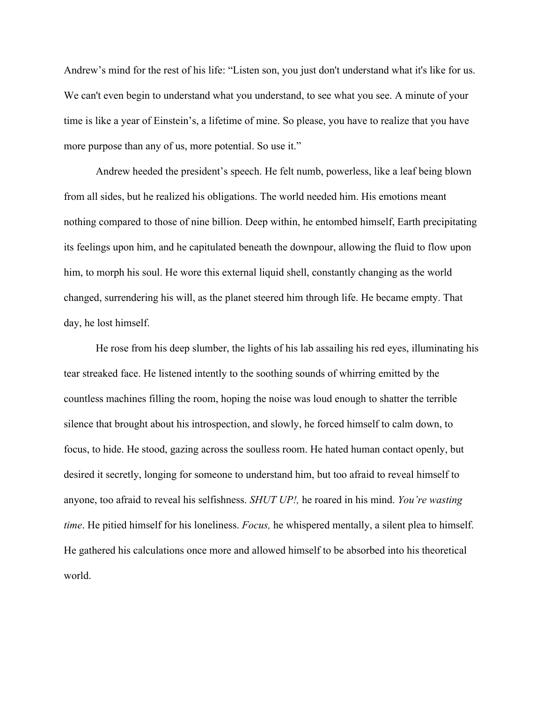Andrew's mind for the rest of his life: "Listen son, you just don't understand what it's like for us. We can't even begin to understand what you understand, to see what you see. A minute of your time is like a year of Einstein's, a lifetime of mine. So please, you have to realize that you have more purpose than any of us, more potential. So use it."

Andrew heeded the president's speech. He felt numb, powerless, like a leaf being blown from all sides, but he realized his obligations. The world needed him. His emotions meant nothing compared to those of nine billion. Deep within, he entombed himself, Earth precipitating its feelings upon him, and he capitulated beneath the downpour, allowing the fluid to flow upon him, to morph his soul. He wore this external liquid shell, constantly changing as the world changed, surrendering his will, as the planet steered him through life. He became empty. That day, he lost himself.

He rose from his deep slumber, the lights of his lab assailing his red eyes, illuminating his tear streaked face. He listened intently to the soothing sounds of whirring emitted by the countless machines filling the room, hoping the noise was loud enough to shatter the terrible silence that brought about his introspection, and slowly, he forced himself to calm down, to focus, to hide. He stood, gazing across the soulless room. He hated human contact openly, but desired it secretly, longing for someone to understand him, but too afraid to reveal himself to anyone, too afraid to reveal his selfishness. *SHUT UP!,* he roared in his mind. *You're wasting time*. He pitied himself for his loneliness. *Focus,* he whispered mentally, a silent plea to himself. He gathered his calculations once more and allowed himself to be absorbed into his theoretical world.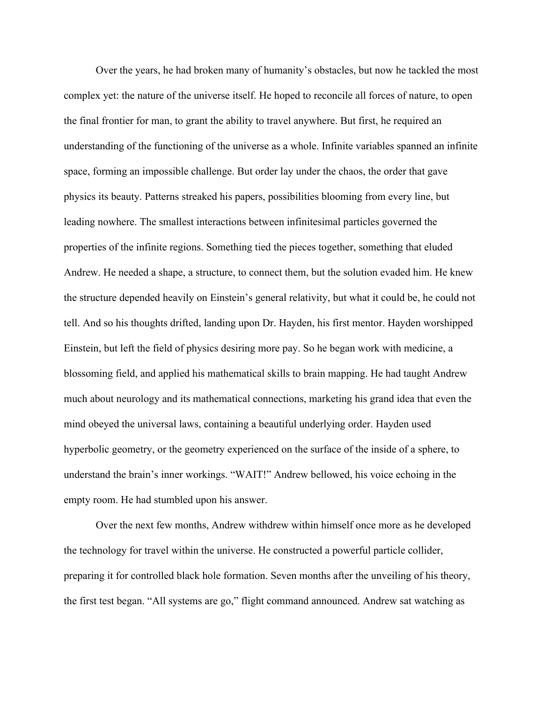Over the years, he had broken many of humanity's obstacles, but now he tackled the most complex yet: the nature of the universe itself. He hoped to reconcile all forces of nature, to open the final frontier for man, to grant the ability to travel anywhere. But first, he required an understanding of the functioning of the universe as a whole. Infinite variables spanned an infinite space, forming an impossible challenge. But order lay under the chaos, the order that gave physics its beauty. Patterns streaked his papers, possibilities blooming from every line, but leading nowhere. The smallest interactions between infinitesimal particles governed the properties of the infinite regions. Something tied the pieces together, something that eluded Andrew. He needed a shape, a structure, to connect them, but the solution evaded him. He knew the structure depended heavily on Einstein's general relativity, but what it could be, he could not tell. And so his thoughts drifted, landing upon Dr. Hayden, his first mentor. Hayden worshipped Einstein, but left the field of physics desiring more pay. So he began work with medicine, a blossoming field, and applied his mathematical skills to brain mapping. He had taught Andrew much about neurology and its mathematical connections, marketing his grand idea that even the mind obeyed the universal laws, containing a beautiful underlying order. Hayden used hyperbolic geometry, or the geometry experienced on the surface of the inside of a sphere, to understand the brain's inner workings. "WAIT!" Andrew bellowed, his voice echoing in the empty room. He had stumbled upon his answer.

Over the next few months, Andrew withdrew within himself once more as he developed the technology for travel within the universe. He constructed a powerful particle collider, preparing it for controlled black hole formation. Seven months after the unveiling of his theory, the first test began. "All systems are go," flight command announced. Andrew sat watching as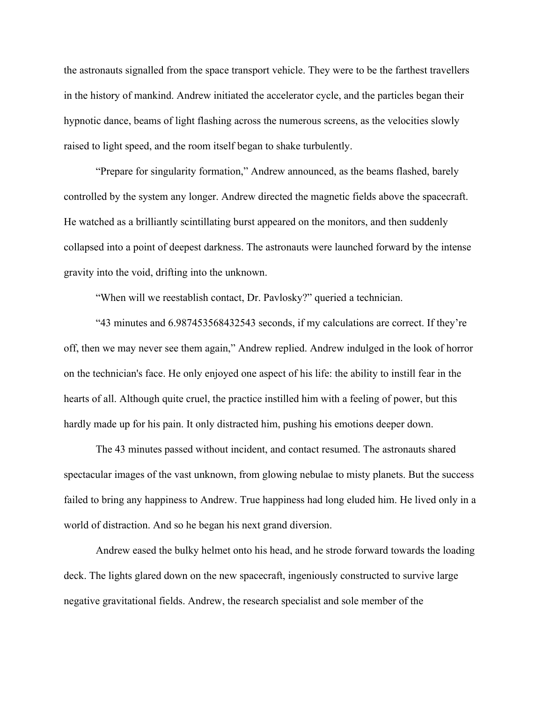the astronauts signalled from the space transport vehicle. They were to be the farthest travellers in the history of mankind. Andrew initiated the accelerator cycle, and the particles began their hypnotic dance, beams of light flashing across the numerous screens, as the velocities slowly raised to light speed, and the room itself began to shake turbulently.

"Prepare for singularity formation," Andrew announced, as the beams flashed, barely controlled by the system any longer. Andrew directed the magnetic fields above the spacecraft. He watched as a brilliantly scintillating burst appeared on the monitors, and then suddenly collapsed into a point of deepest darkness. The astronauts were launched forward by the intense gravity into the void, drifting into the unknown.

"When will we reestablish contact, Dr. Pavlosky?" queried a technician.

"43 minutes and 6.987453568432543 seconds, if my calculations are correct. If they're off, then we may never see them again," Andrew replied. Andrew indulged in the look of horror on the technician's face. He only enjoyed one aspect of his life: the ability to instill fear in the hearts of all. Although quite cruel, the practice instilled him with a feeling of power, but this hardly made up for his pain. It only distracted him, pushing his emotions deeper down.

The 43 minutes passed without incident, and contact resumed. The astronauts shared spectacular images of the vast unknown, from glowing nebulae to misty planets. But the success failed to bring any happiness to Andrew. True happiness had long eluded him. He lived only in a world of distraction. And so he began his next grand diversion.

Andrew eased the bulky helmet onto his head, and he strode forward towards the loading deck. The lights glared down on the new spacecraft, ingeniously constructed to survive large negative gravitational fields. Andrew, the research specialist and sole member of the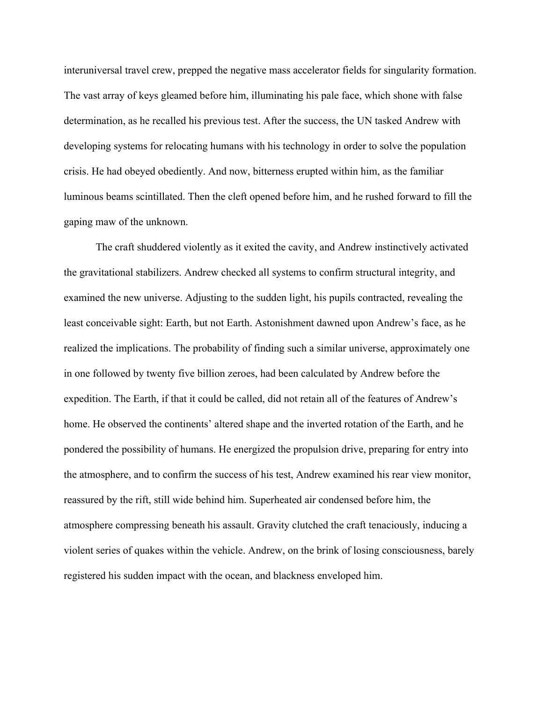interuniversal travel crew, prepped the negative mass accelerator fields for singularity formation. The vast array of keys gleamed before him, illuminating his pale face, which shone with false determination, as he recalled his previous test. After the success, the UN tasked Andrew with developing systems for relocating humans with his technology in order to solve the population crisis. He had obeyed obediently. And now, bitterness erupted within him, as the familiar luminous beams scintillated. Then the cleft opened before him, and he rushed forward to fill the gaping maw of the unknown.

The craft shuddered violently as it exited the cavity, and Andrew instinctively activated the gravitational stabilizers. Andrew checked all systems to confirm structural integrity, and examined the new universe. Adjusting to the sudden light, his pupils contracted, revealing the least conceivable sight: Earth, but not Earth. Astonishment dawned upon Andrew's face, as he realized the implications. The probability of finding such a similar universe, approximately one in one followed by twenty five billion zeroes, had been calculated by Andrew before the expedition. The Earth, if that it could be called, did not retain all of the features of Andrew's home. He observed the continents' altered shape and the inverted rotation of the Earth, and he pondered the possibility of humans. He energized the propulsion drive, preparing for entry into the atmosphere, and to confirm the success of his test, Andrew examined his rear view monitor, reassured by the rift, still wide behind him. Superheated air condensed before him, the atmosphere compressing beneath his assault. Gravity clutched the craft tenaciously, inducing a violent series of quakes within the vehicle. Andrew, on the brink of losing consciousness, barely registered his sudden impact with the ocean, and blackness enveloped him.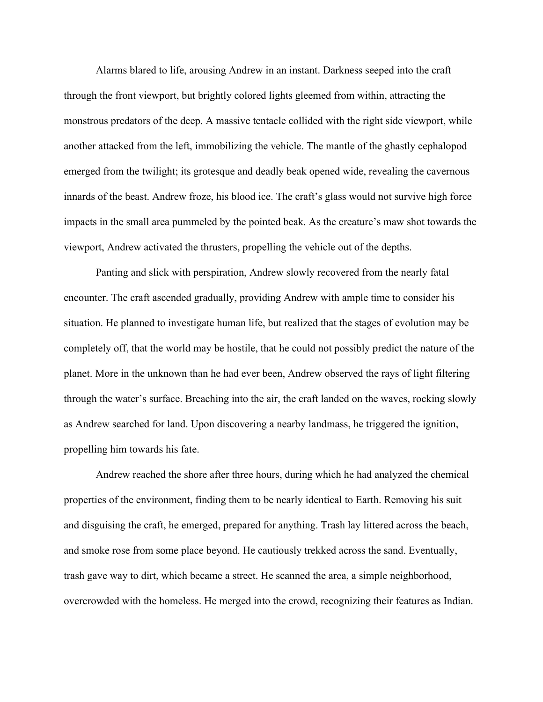Alarms blared to life, arousing Andrew in an instant. Darkness seeped into the craft through the front viewport, but brightly colored lights gleemed from within, attracting the monstrous predators of the deep. A massive tentacle collided with the right side viewport, while another attacked from the left, immobilizing the vehicle. The mantle of the ghastly cephalopod emerged from the twilight; its grotesque and deadly beak opened wide, revealing the cavernous innards of the beast. Andrew froze, his blood ice. The craft's glass would not survive high force impacts in the small area pummeled by the pointed beak. As the creature's maw shot towards the viewport, Andrew activated the thrusters, propelling the vehicle out of the depths.

Panting and slick with perspiration, Andrew slowly recovered from the nearly fatal encounter. The craft ascended gradually, providing Andrew with ample time to consider his situation. He planned to investigate human life, but realized that the stages of evolution may be completely off, that the world may be hostile, that he could not possibly predict the nature of the planet. More in the unknown than he had ever been, Andrew observed the rays of light filtering through the water's surface. Breaching into the air, the craft landed on the waves, rocking slowly as Andrew searched for land. Upon discovering a nearby landmass, he triggered the ignition, propelling him towards his fate.

Andrew reached the shore after three hours, during which he had analyzed the chemical properties of the environment, finding them to be nearly identical to Earth. Removing his suit and disguising the craft, he emerged, prepared for anything. Trash lay littered across the beach, and smoke rose from some place beyond. He cautiously trekked across the sand. Eventually, trash gave way to dirt, which became a street. He scanned the area, a simple neighborhood, overcrowded with the homeless. He merged into the crowd, recognizing their features as Indian.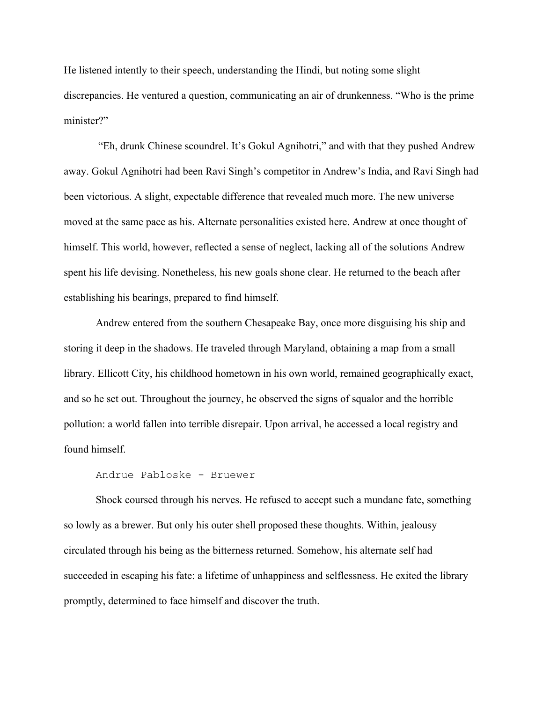He listened intently to their speech, understanding the Hindi, but noting some slight discrepancies. He ventured a question, communicating an air of drunkenness. "Who is the prime minister?"

 "Eh, drunk Chinese scoundrel. It's Gokul Agnihotri," and with that they pushed Andrew away. Gokul Agnihotri had been Ravi Singh's competitor in Andrew's India, and Ravi Singh had been victorious. A slight, expectable difference that revealed much more. The new universe moved at the same pace as his. Alternate personalities existed here. Andrew at once thought of himself. This world, however, reflected a sense of neglect, lacking all of the solutions Andrew spent his life devising. Nonetheless, his new goals shone clear. He returned to the beach after establishing his bearings, prepared to find himself.

Andrew entered from the southern Chesapeake Bay, once more disguising his ship and storing it deep in the shadows. He traveled through Maryland, obtaining a map from a small library. Ellicott City, his childhood hometown in his own world, remained geographically exact, and so he set out. Throughout the journey, he observed the signs of squalor and the horrible pollution: a world fallen into terrible disrepair. Upon arrival, he accessed a local registry and found himself.

## Andrue Pabloske - Bruewer

Shock coursed through his nerves. He refused to accept such a mundane fate, something so lowly as a brewer. But only his outer shell proposed these thoughts. Within, jealousy circulated through his being as the bitterness returned. Somehow, his alternate self had succeeded in escaping his fate: a lifetime of unhappiness and selflessness. He exited the library promptly, determined to face himself and discover the truth.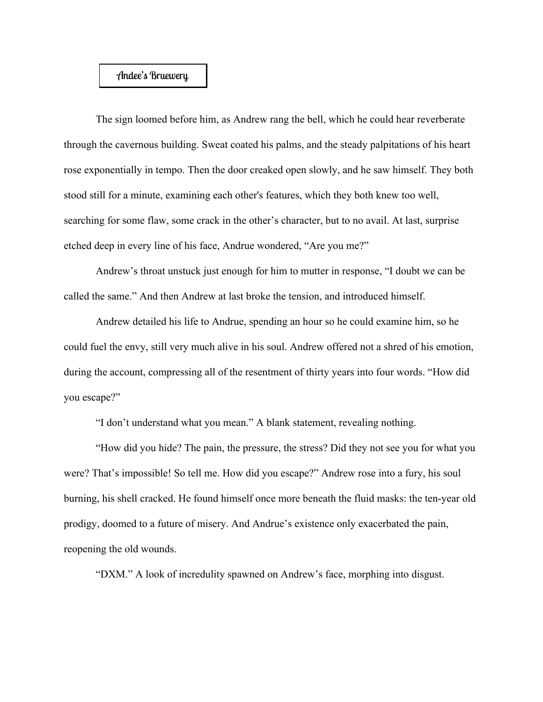## Andee's Bruewery

The sign loomed before him, as Andrew rang the bell, which he could hear reverberate through the cavernous building. Sweat coated his palms, and the steady palpitations of his heart rose exponentially in tempo. Then the door creaked open slowly, and he saw himself. They both stood still for a minute, examining each other's features, which they both knew too well, searching for some flaw, some crack in the other's character, but to no avail. At last, surprise etched deep in every line of his face, Andrue wondered, "Are you me?"

Andrew's throat unstuck just enough for him to mutter in response, "I doubt we can be called the same." And then Andrew at last broke the tension, and introduced himself.

Andrew detailed his life to Andrue, spending an hour so he could examine him, so he could fuel the envy, still very much alive in his soul. Andrew offered not a shred of his emotion, during the account, compressing all of the resentment of thirty years into four words. "How did you escape?"

"I don't understand what you mean." A blank statement, revealing nothing.

"How did you hide? The pain, the pressure, the stress? Did they not see you for what you were? That's impossible! So tell me. How did you escape?" Andrew rose into a fury, his soul burning, his shell cracked. He found himself once more beneath the fluid masks: the ten-year old prodigy, doomed to a future of misery. And Andrue's existence only exacerbated the pain, reopening the old wounds.

"DXM." A look of incredulity spawned on Andrew's face, morphing into disgust.